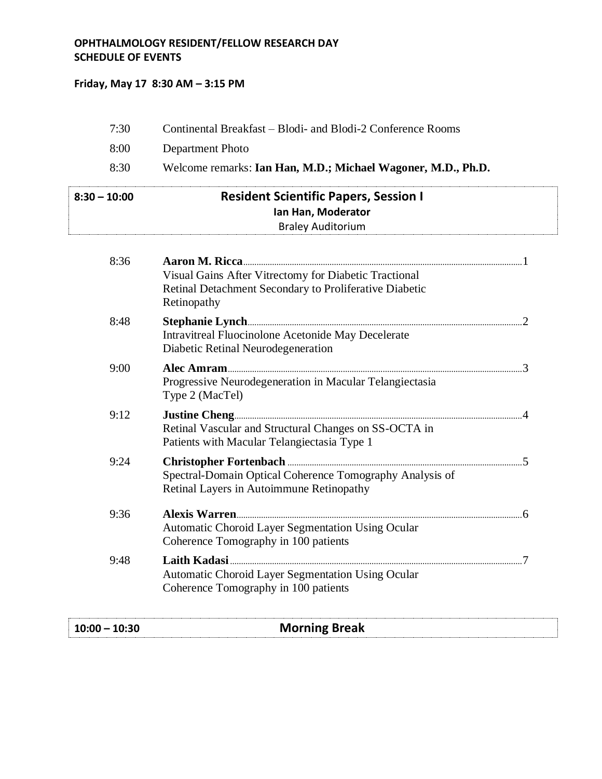## **OPHTHALMOLOGY RESIDENT/FELLOW RESEARCH DAY SCHEDULE OF EVENTS**

## **Friday, May 17 8:30 AM – 3:15 PM**

| $10:00 - 10:30$ | <b>Morning Break</b>                                                                                                           |  |
|-----------------|--------------------------------------------------------------------------------------------------------------------------------|--|
| 9:48            | <b>Automatic Choroid Layer Segmentation Using Ocular</b><br>Coherence Tomography in 100 patients                               |  |
| 9:36            | Automatic Choroid Layer Segmentation Using Ocular<br>Coherence Tomography in 100 patients                                      |  |
| 9:24            | Spectral-Domain Optical Coherence Tomography Analysis of<br>Retinal Layers in Autoimmune Retinopathy                           |  |
| 9:12            | Retinal Vascular and Structural Changes on SS-OCTA in<br>Patients with Macular Telangiectasia Type 1                           |  |
| 9:00            | Progressive Neurodegeneration in Macular Telangiectasia<br>Type 2 (MacTel)                                                     |  |
| 8:48            | <b>Intravitreal Fluocinolone Acetonide May Decelerate</b><br>Diabetic Retinal Neurodegeneration                                |  |
| 8:36            | Visual Gains After Vitrectomy for Diabetic Tractional<br>Retinal Detachment Secondary to Proliferative Diabetic<br>Retinopathy |  |
| $8:30 - 10:00$  | <b>Resident Scientific Papers, Session I</b><br>Ian Han, Moderator<br><b>Braley Auditorium</b>                                 |  |
| 8:30            | Welcome remarks: Ian Han, M.D.; Michael Wagoner, M.D., Ph.D.                                                                   |  |
| 8:00            | Department Photo                                                                                                               |  |
| 7:30            | Continental Breakfast – Blodi- and Blodi-2 Conference Rooms                                                                    |  |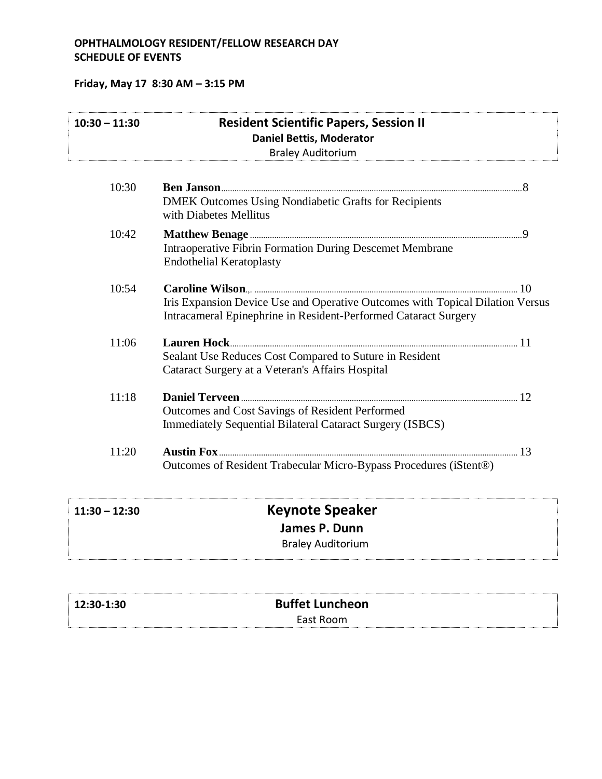## **OPHTHALMOLOGY RESIDENT/FELLOW RESEARCH DAY SCHEDULE OF EVENTS**

# **Friday, May 17 8:30 AM – 3:15 PM**

| $10:30 - 11:30$ | <b>Resident Scientific Papers, Session II</b><br><b>Daniel Bettis, Moderator</b><br><b>Braley Auditorium</b>                                     |  |
|-----------------|--------------------------------------------------------------------------------------------------------------------------------------------------|--|
| 10:30           | <b>DMEK Outcomes Using Nondiabetic Grafts for Recipients</b><br>with Diabetes Mellitus                                                           |  |
| 10:42           | <b>Intraoperative Fibrin Formation During Descemet Membrane</b><br><b>Endothelial Keratoplasty</b>                                               |  |
| 10:54           | Iris Expansion Device Use and Operative Outcomes with Topical Dilation Versus<br>Intracameral Epinephrine in Resident-Performed Cataract Surgery |  |
| 11:06           | Sealant Use Reduces Cost Compared to Suture in Resident<br>Cataract Surgery at a Veteran's Affairs Hospital                                      |  |
| 11:18           | Outcomes and Cost Savings of Resident Performed<br><b>Immediately Sequential Bilateral Cataract Surgery (ISBCS)</b>                              |  |
| 11:20           | Outcomes of Resident Trabecular Micro-Bypass Procedures (iStent®)                                                                                |  |
| $11:30 - 12:30$ | <b>Keynote Speaker</b>                                                                                                                           |  |
|                 | James P. Dunn<br><b>Braley Auditorium</b>                                                                                                        |  |

| 12:30-1:30 | <b>Buffet Luncheon</b> |  |
|------------|------------------------|--|
|            | East Room              |  |